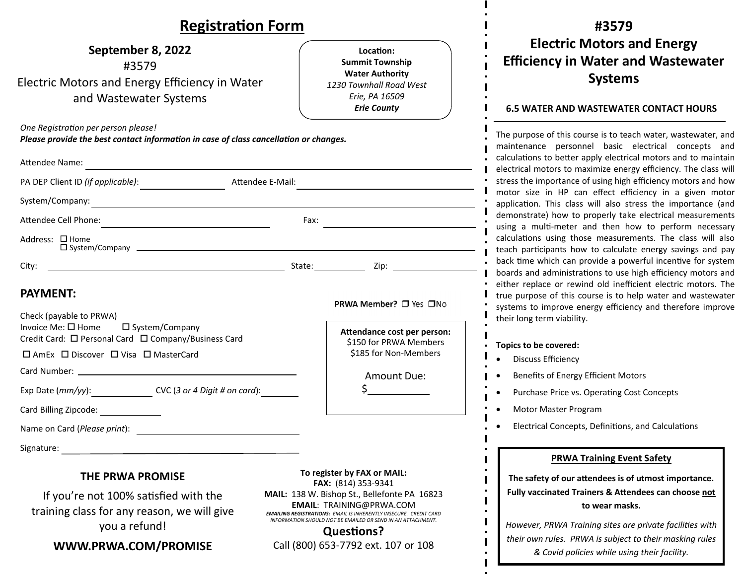## **Registra Ɵon Form**

### **September 8, 2022** #3579 Electric Motors and Energy E fficiency in Water and Wastewater Systems

*One Registra Ɵon per person please!* 

*Please provide the best contact informa Ɵon in case of class cancella Ɵon or changes.*

| <b>Attendee Name:</b>                                                                                                          |      |                                                                                                                                                                 |
|--------------------------------------------------------------------------------------------------------------------------------|------|-----------------------------------------------------------------------------------------------------------------------------------------------------------------|
| PA DEP Client ID (if applicable):<br>Attendee E-Mail:                                                                          |      |                                                                                                                                                                 |
|                                                                                                                                |      |                                                                                                                                                                 |
| Attendee Cell Phone:                                                                                                           | Fax: |                                                                                                                                                                 |
| Address: □ Home                                                                                                                |      |                                                                                                                                                                 |
| City:<br><u> 1989 - Johann Harry Harry Harry Harry Harry Harry Harry Harry Harry Harry Harry Harry Harry Harry Harry Harry</u> |      | State: Zip: Zip:                                                                                                                                                |
| <b>PAYMENT:</b><br>Check (payable to PRWA)                                                                                     |      | <b>PRWA Member?</b> □ Yes □No                                                                                                                                   |
| Invoice Me: □ Home □ System/Company<br>Credit Card: □ Personal Card □ Company/Business Card                                    |      | Attendance cost per person:<br>\$150 for PRWA Members                                                                                                           |
| $\Box$ AmEx $\Box$ Discover $\Box$ Visa $\Box$ MasterCard                                                                      |      | \$185 for Non-Members                                                                                                                                           |
|                                                                                                                                |      | Amount Due:                                                                                                                                                     |
| Exp Date $(mm/yy)$ : $CVC$ (3 or 4 Digit # on card):                                                                           |      | $\frac{\zeta_{\frac{1}{2}}}{\zeta_{\frac{1}{2}}}-\frac{\zeta_{\frac{1}{2}}}{\zeta_{\frac{1}{2}}}-\zeta_{\frac{1}{2}}}{\zeta_{\frac{1}{2}}}-\zeta_{\frac{1}{2}}$ |
| Card Billing Zipcode: _______________                                                                                          |      |                                                                                                                                                                 |
|                                                                                                                                |      |                                                                                                                                                                 |
| Signature:                                                                                                                     |      |                                                                                                                                                                 |

#### **THE PRWA PROMISE**

If you're not 100% satisfied with the training class for any reason, we will give you a refund!

### **WWW.PRWA.COM/PROMISE**

**To register by FAX or MAIL: FAX:** (814) 353‐9341 **MAIL:** 138 W. Bishop St., Bellefonte PA 16823 **EMAIL**: TRAINING@PRWA.COM *EMAILING REGISTRATIONS: EMAIL IS INHERENTLY INSECURE. CREDIT CARD INFORMATION SHOULD NOT BE EMAILED OR SEND IN AN ATTACHMENT.*

**LocaƟon:Summit Township Water Authority** *1230 Townhall Road West Erie, PA 16509 Erie County*

**Ques Ɵons?**Call (800) 653‐7792 ext. 107 or 108

## **#3579Electric Motors and Energy E fficiency in Water and Wastewater Systems**

#### **6.5 WATER AND WASTEWATER CONTACT HOURS**

The purpose of this course is to teach water, wastewater, and maintenance personnel basic electrical concepts and calculations to better apply electrical motors and to maintain electrical motors to maximize energy e fficiency. The class will stress the importance of using high e fficiency motors and how motor size in HP can e ffect e fficiency in a given motor application. This class will also stress the importance (and demonstrate) how to properly take electrical measurements using a multi-meter and then how to perform necessary calculations using those measurements. The class will also teach par Ɵcipants how to calculate energy savings and pay back time which can provide a powerful incentive for system boards and administrations to use high efficiency motors and either replace or rewind old ine fficient electric motors. The true purpose of this course is to help water and wastewater systems to improve energy e fficiency and therefore improve their long term viability.

#### **Topics to be covered:**

- $\bullet$ Discuss Efficiency
- $\bullet$ Benefits of Energy E fficient Motors
- $\bullet$ Purchase Price vs. Operating Cost Concepts
- $\bullet$ Motor Master Program
- $\bullet$ Electrical Concepts, Definitions, and Calculations

#### **PRWA Training Event Safety**

**The safety of our <sup>a</sup>Ʃendees is of utmost importance. Fully vaccinated Trainers &A Ʃendees can choose not to wear masks.**

*However, PRWA Training sites are private facili Ɵes with their own rules. PRWA is subject to their masking rules & Covid policies while using their facility.*